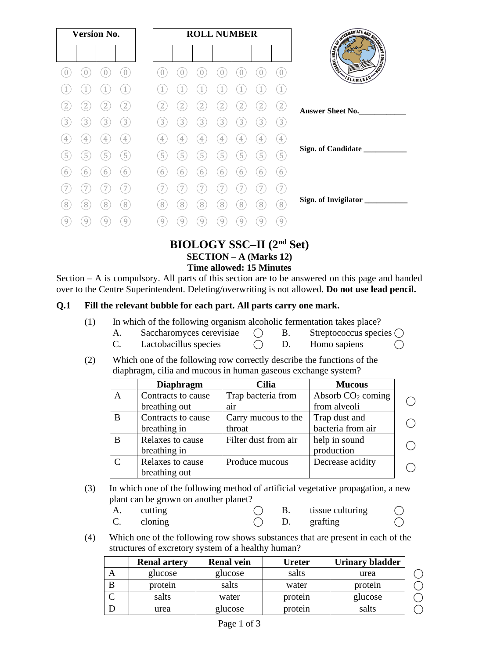|   | <b>Version No.</b>        |                |                   |                |   |                | <b>ROLL NUMBER</b> |                        |                  |                   |
|---|---------------------------|----------------|-------------------|----------------|---|----------------|--------------------|------------------------|------------------|-------------------|
|   |                           |                |                   |                |   |                |                    |                        |                  |                   |
|   |                           |                | $\sqrt{a}$        | $\bigcap$      |   |                |                    | 0                      |                  | $\overline{0}$    |
|   |                           |                | $\mathbf{1}$      |                |   |                |                    |                        |                  | $\left(1\right)$  |
|   | 2                         | $\overline{2}$ | $[2]$             | 2              | 2 | 2              |                    | 2                      | $\overline{2}$   | $\left( 2\right)$ |
| 3 | $\mathbf{3}^{\mathsf{c}}$ | 3              | $\left(3\right)$  | 3              | 3 | $\overline{3}$ | $[3]$              | $\left 3\right\rangle$ | $\left(3\right)$ | $\left(3\right)$  |
| 4 | $\overline{4}$            | $\sqrt{ }$     | $\left( 4\right)$ | $\overline{4}$ | 4 | 4              | 4                  | $\overline{4}$         | $\overline{4}$   | (4)               |
| 5 | $\overline{5}$            | $\boxed{5}$    | $\left(5\right)$  | 5              | 5 | $\overline{5}$ | $\overline{5}$     | $\mathbf{5}^{\prime}$  | $\left(5\right)$ | $\left(5\right)$  |
| 6 | 6                         | 6              | $\left(6\right)$  | 6              | 6 | 6              | 6                  | 6                      | 6                | (6)               |
|   |                           |                | 7                 |                |   |                |                    |                        |                  | 7                 |
| 8 | 8                         | 8              | $\left( 8\right)$ | 8              | 8 | 8              | 8                  | $\overline{8}$         | $\left[8\right]$ | (8)               |
| 9 | 9                         | 9              | 9                 | 9              | 9 | 9              | 9                  | 9                      | 9                | $\left(9\right)$  |

#### **BIOLOGY SSC–II (2nd Set) SECTION – A (Marks 12) Time allowed: 15 Minutes**

Section – A is compulsory. All parts of this section are to be answered on this page and handed over to the Centre Superintendent. Deleting/overwriting is not allowed. **Do not use lead pencil.**

#### **Q.1 Fill the relevant bubble for each part. All parts carry one mark.**

| (1) | In which of the following organism alcoholic fermentation takes place? |  |  |
|-----|------------------------------------------------------------------------|--|--|
|     |                                                                        |  |  |

- A. Saccharomyces cerevisiae  $\bigcirc$  B. Streptococcus species  $\bigcirc$
- C. Lactobacillus species  $\bigcirc$  D. Homo sapiens  $\bigcirc$
- (2) Which one of the following row correctly describe the functions of the diaphragm, cilia and mucous in human gaseous exchange system?

|   | <b>Diaphragm</b>   | <b>Cilia</b>         | <b>Mucous</b>       |  |
|---|--------------------|----------------------|---------------------|--|
| A | Contracts to cause | Trap bacteria from   | Absorb $CO2$ coming |  |
|   | breathing out      | air                  | from alveoli        |  |
| B | Contracts to cause | Carry mucous to the  | Trap dust and       |  |
|   | breathing in       | throat               | bacteria from air   |  |
| B | Relaxes to cause   | Filter dust from air | help in sound       |  |
|   | breathing in       |                      | production          |  |
| C | Relaxes to cause   | Produce mucous       | Decrease acidity    |  |
|   | breathing out      |                      |                     |  |

(3) In which one of the following method of artificial vegetative propagation, a new plant can be grown on another planet?

| A. | cutting |  | tissue culturing |  |
|----|---------|--|------------------|--|
|    | cloning |  | grafting         |  |

(4) Which one of the following row shows substances that are present in each of the structures of excretory system of a healthy human?

|   | <b>Renal artery</b> | <b>Renal vein</b> | Ureter  | Urinary bladder |
|---|---------------------|-------------------|---------|-----------------|
|   | glucose             | glucose           | salts   | urea            |
| B | protein             | salts             | water   | protein         |
|   | salts               | water             | protein | glucose         |
|   | urea                | glucose           | protein | salts           |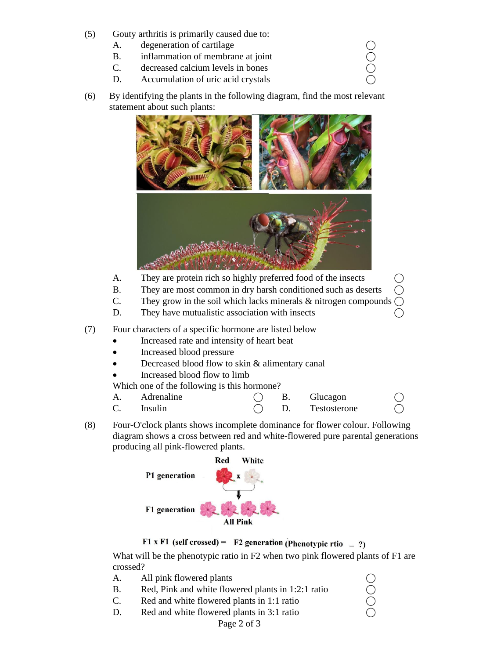- (5) Gouty arthritis is primarily caused due to:
	-
	- A. degeneration of cartilage  $\bigcirc$ <br>
	B. inflammation of membrane at joint  $\bigcirc$ <br>
	C. decreased calcium levels in bones  $\bigcirc$ B. inflammation of membrane at joint
	- C. decreased calcium levels in bones
	- D. Accumulation of uric acid crystals
- (6) By identifying the plants in the following diagram, find the most relevant statement about such plants:



- A. They are protein rich so highly preferred food of the insects
- B. They are most common in dry harsh conditioned such as deserts
- C. They grow in the soil which lacks minerals  $\&$  nitrogen compounds
- D. They have mutualistic association with insects

(7) Four characters of a specific hormone are listed below

- Increased rate and intensity of heart beat
- Increased blood pressure
- Decreased blood flow to skin & alimentary canal
- Increased blood flow to limb

Which one of the following is this hormone?

- A. Adrenaline ( B. Glucagon
	-
- $C.$  Insulin  $C.$  Testosterone
- (8) Four-O'clock plants shows incomplete dominance for flower colour. Following diagram shows a cross between red and white-flowered pure parental generations producing all pink-flowered plants.





What will be the phenotypic ratio in F2 when two pink flowered plants of F1 are crossed?

- 
- A. All pink flowered plants  $\bigcirc$ <br>
B. Red, Pink and white flowered plants in 1:2:1 ratio  $\bigcirc$ <br>
C. Red and white flowered plants in 1:1 ratio  $\bigcirc$ <br>
D. Red and white flowered plants in 3:1 ratio  $\bigcirc$ B. Red, Pink and white flowered plants in 1:2:1 ratio
- C. Red and white flowered plants in 1:1 ratio
- D. Red and white flowered plants in 3:1 ratio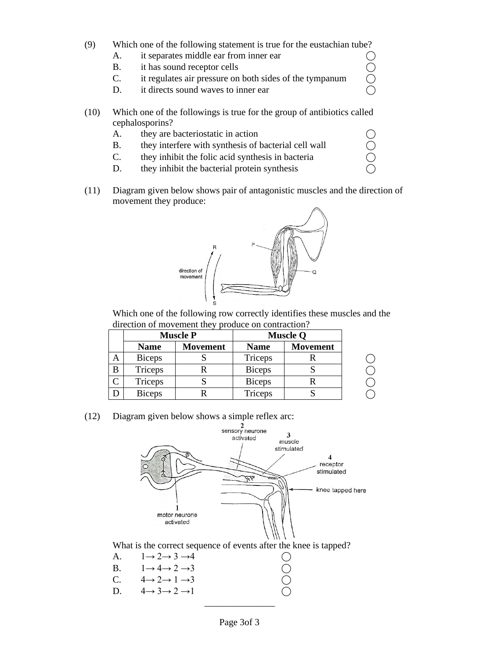- (9) Which one of the following statement is true for the eustachian tube?
	-
	- B. it has sound receptor cells
	- A. it separates middle ear from inner ear  $\bigcirc$ <br>
	B. it has sound receptor cells  $\bigcirc$ <br>
	C. it regulates air pressure on both sides of the tympanum  $\bigcirc$ C. it regulates air pressure on both sides of the tympanum
	- D. it directs sound waves to inner ear
- (10) Which one of the followings is true for the group of antibiotics called cephalosporins?
	-
	- A. they are bacteriostatic in action  $\bigcirc$ <br>
	B. they interfere with synthesis of bacterial cell wall  $\bigcirc$ <br>
	C. they inhibit the folic acid synthesis in bacteria<br>
	D. they inhibit the bacterial protein synthesis B. they interfere with synthesis of bacterial cell wall
	- C. they inhibit the folic acid synthesis in bacteria
	- D. they inhibit the bacterial protein synthesis
- (11) Diagram given below shows pair of antagonistic muscles and the direction of movement they produce:



Which one of the following row correctly identifies these muscles and the direction of movement they produce on contraction?

|   |               | <b>Muscle P</b> |               | <b>Muscle Q</b> |
|---|---------------|-----------------|---------------|-----------------|
|   | <b>Name</b>   | <b>Movement</b> | <b>Name</b>   | <b>Movement</b> |
| Α | <b>Biceps</b> |                 | Triceps       |                 |
| B | Triceps       |                 | <b>Biceps</b> |                 |
|   | Triceps       |                 | <b>Biceps</b> |                 |
|   | <b>Biceps</b> |                 | Triceps       |                 |

(12) Diagram given below shows a simple reflex arc:



What is the correct sequence of events after the knee is tapped?

|    | A. $1 \rightarrow 2 \rightarrow 3 \rightarrow 4$ | $\bigcirc$ |
|----|--------------------------------------------------|------------|
|    | B. $1 \rightarrow 4 \rightarrow 2 \rightarrow 3$ | $\bigcap$  |
|    | C. $4 \rightarrow 2 \rightarrow 1 \rightarrow 3$ | $\bigcap$  |
| D. | $4 \rightarrow 3 \rightarrow 2 \rightarrow 1$    | $\bigcirc$ |
|    |                                                  |            |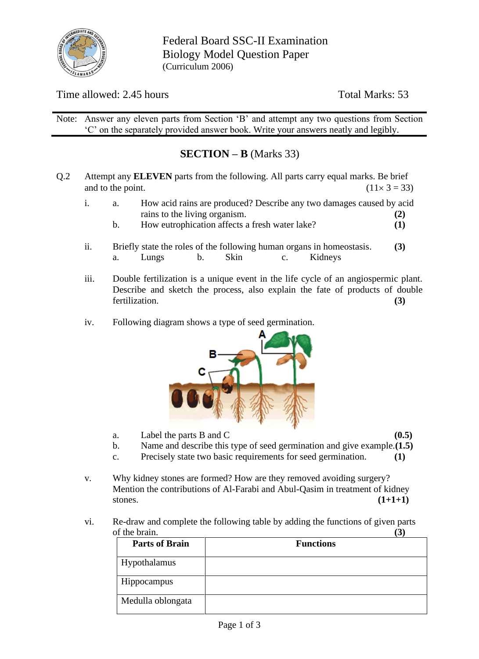

Federal Board SSC-II Examination Biology Model Question Paper (Curriculum 2006)

## Time allowed: 2.45 hours Total Marks: 53

Note: Answer any eleven parts from Section 'B' and attempt any two questions from Section 'C' on the separately provided answer book. Write your answers neatly and legibly.

## **SECTION – B** (Marks 33)

- Q.2 Attempt any **ELEVEN** parts from the following. All parts carry equal marks. Be brief and to the point. (11  $\times$  3 = 33)
	- i. a. How acid rains are produced? Describe any two damages caused by acid rains to the living organism. **(2)**
		- b. How eutrophication affects a fresh water lake? **(1)**
	- ii. Briefly state the roles of the following human organs in homeostasis. **(3)** a. Lungs b. Skin c. Kidneys
	- iii. Double fertilization is a unique event in the life cycle of an angiospermic plant. Describe and sketch the process, also explain the fate of products of double fertilization. **(3)**
	- iv. Following diagram shows a type of seed germination.



- a. Label the parts B and C **(0.5)**
- b. Name and describe this type of seed germination and give example.**(1.5)**
- c. Precisely state two basic requirements for seed germination. **(1)**
- v. Why kidney stones are formed? How are they removed avoiding surgery? Mention the contributions of Al-Farabi and Abul-Qasim in treatment of kidney stones. **(1+1+1)**
- vi. Re-draw and complete the following table by adding the functions of given parts of the brain. **(3)**

| <b>Parts of Brain</b> | <b>Functions</b> |
|-----------------------|------------------|
| Hypothalamus          |                  |
| Hippocampus           |                  |
| Medulla oblongata     |                  |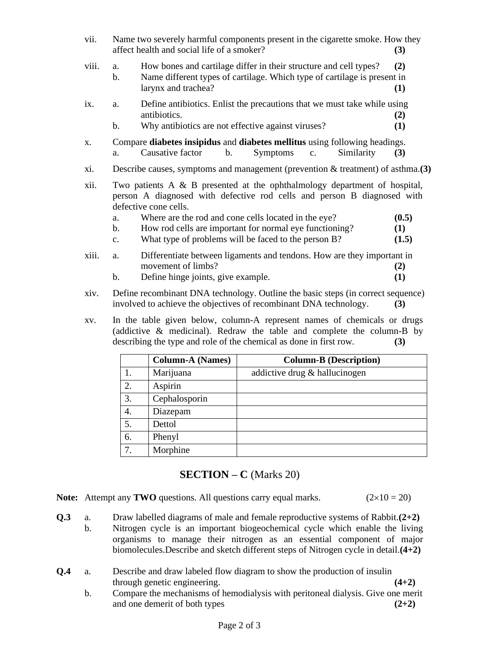- vii. Name two severely harmful components present in the cigarette smoke. How they affect health and social life of a smoker? **(3)**
- viii. a. How bones and cartilage differ in their structure and cell types? **(2)**
	- b. Name different types of cartilage. Which type of cartilage is present in larynx and trachea? **(1)**
- ix. a. Define antibiotics. Enlist the precautions that we must take while using antibiotics. **(2)**
	- b. Why antibiotics are not effective against viruses? **(1)**
- x. Compare **diabetes insipidus** and **diabetes mellitus** using following headings. a. Causative factor b. Symptoms c. Similarity **(3)**
- xi. Describe causes, symptoms and management (prevention & treatment) of asthma.**(3)**
- xii. Two patients A & B presented at the ophthalmology department of hospital, person A diagnosed with defective rod cells and person B diagnosed with defective cone cells.
	- a. Where are the rod and cone cells located in the eye? **(0.5)**
	- b. How rod cells are important for normal eye functioning? **(1)**
	- c. What type of problems will be faced to the person B? **(1.5)**
- xiii. a. Differentiate between ligaments and tendons. How are they important in movement of limbs? **(2)**
	- b. Define hinge joints, give example. **(1)**
- xiv. Define recombinant DNA technology. Outline the basic steps (in correct sequence) involved to achieve the objectives of recombinant DNA technology. **(3)**
- xv. In the table given below, column-A represent names of chemicals or drugs (addictive & medicinal). Redraw the table and complete the column-B by describing the type and role of the chemical as done in first row. **(3)**

|                  | <b>Column-A (Names)</b> | <b>Column-B (Description)</b> |
|------------------|-------------------------|-------------------------------|
|                  | Marijuana               | addictive drug & hallucinogen |
| 2.               | Aspirin                 |                               |
| 3.               | Cephalosporin           |                               |
| $\overline{4}$ . | Diazepam                |                               |
| 5.               | Dettol                  |                               |
| 6.               | Phenyl                  |                               |
| 7.               | Morphine                |                               |

### **SECTION – C** (Marks 20)

**Note:** Attempt any **TWO** questions. All questions carry equal marks.  $(2 \times 10 = 20)$ 

- **Q.3** a. Draw labelled diagrams of male and female reproductive systems of Rabbit.**(2+2)** b. Nitrogen cycle is an important biogeochemical cycle which enable the living organisms to manage their nitrogen as an essential component of major biomolecules.Describe and sketch different steps of Nitrogen cycle in detail.**(4+2)**
- **Q.4** a. Describe and draw labeled flow diagram to show the production of insulin through genetic engineering. **(4+2)**
	- b. Compare the mechanisms of hemodialysis with peritoneal dialysis. Give one merit and one demerit of both types **(2+2)**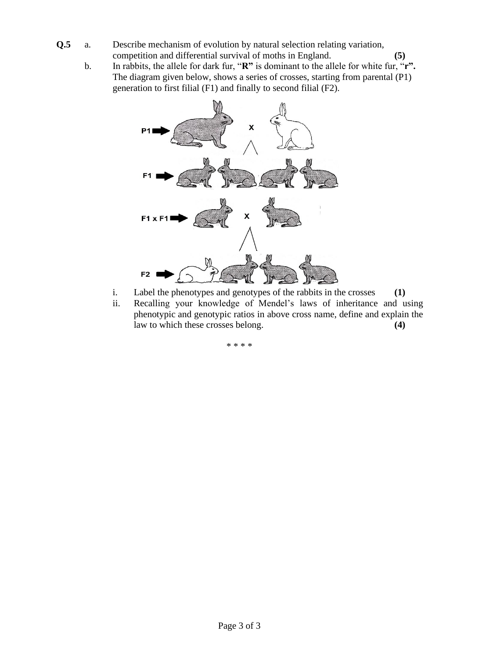- **Q.5** a. Describe mechanism of evolution by natural selection relating variation, competition and differential survival of moths in England. **(5)**
	- b. In rabbits, the allele for dark fur, "**R"** is dominant to the allele for white fur, "**r".** The diagram given below, shows a series of crosses, starting from parental (P1) generation to first filial (F1) and finally to second filial (F2).



- i. Label the phenotypes and genotypes of the rabbits in the crosses **(1)**
- ii. Recalling your knowledge of Mendel's laws of inheritance and using phenotypic and genotypic ratios in above cross name, define and explain the law to which these crosses belong. **(4)**

\* \* \* \*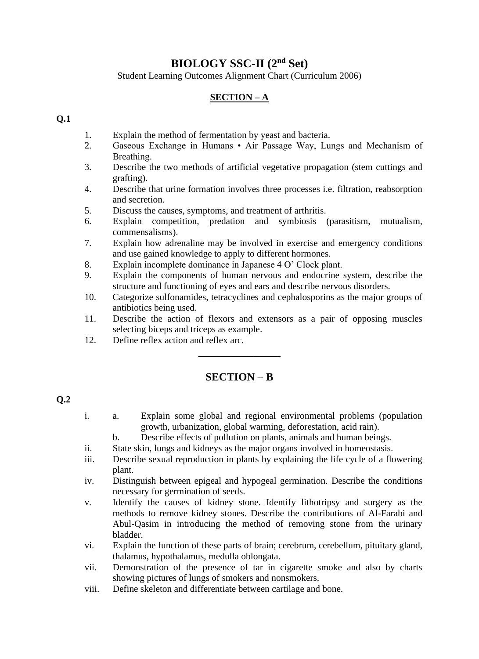# **BIOLOGY SSC-II (2nd Set)**

Student Learning Outcomes Alignment Chart (Curriculum 2006)

#### **SECTION – A**

#### **Q.1**

- 1. Explain the method of fermentation by yeast and bacteria.
- 2. Gaseous Exchange in Humans Air Passage Way, Lungs and Mechanism of Breathing.
- 3. Describe the two methods of artificial vegetative propagation (stem cuttings and grafting).
- 4. Describe that urine formation involves three processes i.e. filtration, reabsorption and secretion.
- 5. Discuss the causes, symptoms, and treatment of arthritis.
- 6. Explain competition, predation and symbiosis (parasitism, mutualism, commensalisms).
- 7. Explain how adrenaline may be involved in exercise and emergency conditions and use gained knowledge to apply to different hormones.
- 8. Explain incomplete dominance in Japanese 4 O' Clock plant.
- 9. Explain the components of human nervous and endocrine system, describe the structure and functioning of eyes and ears and describe nervous disorders.
- 10. Categorize sulfonamides, tetracyclines and cephalosporins as the major groups of antibiotics being used.
- 11. Describe the action of flexors and extensors as a pair of opposing muscles selecting biceps and triceps as example.
- 12. Define reflex action and reflex arc.

## **SECTION – B**

\_\_\_\_\_\_\_\_\_\_\_\_\_\_\_

#### **Q.2**

- i. a. Explain some global and regional environmental problems (population growth, urbanization, global warming, deforestation, acid rain).
	- b. Describe effects of pollution on plants, animals and human beings.
- ii. State skin, lungs and kidneys as the major organs involved in homeostasis.
- iii. Describe sexual reproduction in plants by explaining the life cycle of a flowering plant.
- iv. Distinguish between epigeal and hypogeal germination. Describe the conditions necessary for germination of seeds.
- v. Identify the causes of kidney stone. Identify lithotripsy and surgery as the methods to remove kidney stones. Describe the contributions of Al-Farabi and Abul-Qasim in introducing the method of removing stone from the urinary bladder.
- vi. Explain the function of these parts of brain; cerebrum, cerebellum, pituitary gland, thalamus, hypothalamus, medulla oblongata.
- vii. Demonstration of the presence of tar in cigarette smoke and also by charts showing pictures of lungs of smokers and nonsmokers.
- viii. Define skeleton and differentiate between cartilage and bone.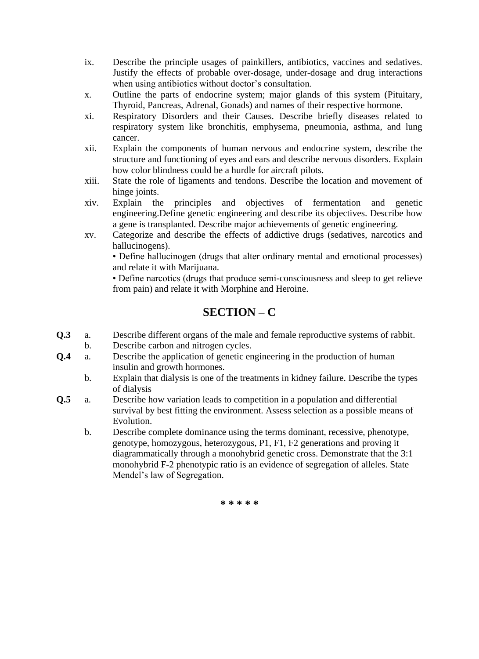- ix. Describe the principle usages of painkillers, antibiotics, vaccines and sedatives. Justify the effects of probable over-dosage, under-dosage and drug interactions when using antibiotics without doctor's consultation.
- x. Outline the parts of endocrine system; major glands of this system (Pituitary, Thyroid, Pancreas, Adrenal, Gonads) and names of their respective hormone.
- xi. Respiratory Disorders and their Causes. Describe briefly diseases related to respiratory system like bronchitis, emphysema, pneumonia, asthma, and lung cancer.
- xii. Explain the components of human nervous and endocrine system, describe the structure and functioning of eyes and ears and describe nervous disorders. Explain how color blindness could be a hurdle for aircraft pilots.
- xiii. State the role of ligaments and tendons. Describe the location and movement of hinge joints.
- xiv. Explain the principles and objectives of fermentation and genetic engineering.Define genetic engineering and describe its objectives. Describe how a gene is transplanted. Describe major achievements of genetic engineering.
- xv. Categorize and describe the effects of addictive drugs (sedatives, narcotics and hallucinogens).

• Define hallucinogen (drugs that alter ordinary mental and emotional processes) and relate it with Marijuana.

• Define narcotics (drugs that produce semi-consciousness and sleep to get relieve from pain) and relate it with Morphine and Heroine.

# **SECTION – C**

- **Q.3** a. Describe different organs of the male and female reproductive systems of rabbit.
- b. Describe carbon and nitrogen cycles.
- **Q.4** a. Describe the application of genetic engineering in the production of human insulin and growth hormones.
	- b. Explain that dialysis is one of the treatments in kidney failure. Describe the types of dialysis
- **Q.5** a. Describe how variation leads to competition in a population and differential survival by best fitting the environment. Assess selection as a possible means of Evolution.
	- b. Describe complete dominance using the terms dominant, recessive, phenotype, genotype, homozygous, heterozygous, P1, F1, F2 generations and proving it diagrammatically through a monohybrid genetic cross. Demonstrate that the 3:1 monohybrid F-2 phenotypic ratio is an evidence of segregation of alleles. State Mendel's law of Segregation.

**\* \* \* \* \***